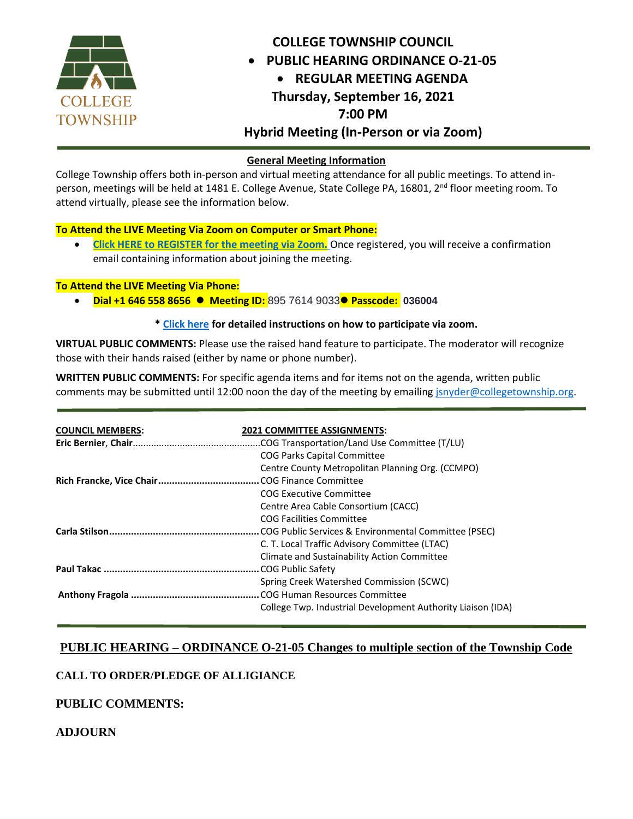

# **COLLEGE TOWNSHIP COUNCIL PUBLIC HEARING ORDINANCE O-21-05 REGULAR MEETING AGENDA Thursday, September 16, 2021 7:00 PM Hybrid Meeting (In-Person or via Zoom)**

#### **General Meeting Information**

College Township offers both in-person and virtual meeting attendance for all public meetings. To attend inperson, meetings will be held at 1481 E. College Avenue, State College PA, 16801, 2<sup>nd</sup> floor meeting room. To attend virtually, please see the information below.

#### **To Attend the LIVE Meeting Via Zoom on Computer or Smart Phone:**

 **[Click HERE to REGISTER for the meeting via Zoom.](https://us02web.zoom.us/meeting/register/tZ0ocO-pqjIqGdeYs3uy_K4eYRIX_yKpUs1S)** Once registered, you will receive a confirmation email containing information about joining the meeting.

#### **To Attend the LIVE Meeting Via Phone:**

**Dial +1 646 558 8656 Meeting ID:** 895 7614 9033 **Passcode: 036004**

#### **\* [Click here](https://cms8.revize.com/revize/collegetwp/government/upcoming_meetings.php) for detailed instructions on how to participate via zoom.**

**VIRTUAL PUBLIC COMMENTS:** Please use the raised hand feature to participate. The moderator will recognize those with their hands raised (either by name or phone number).

**WRITTEN PUBLIC COMMENTS:** For specific agenda items and for items not on the agenda, written public comments may be submitted until 12:00 noon the day of the meeting by emailin[g jsnyder@collegetownship.org.](mailto:jsnyder@collegetownship.org)

| <b>COUNCIL MEMBERS:</b> | <b>2021 COMMITTEE ASSIGNMENTS:</b>                          |  |  |  |  |  |
|-------------------------|-------------------------------------------------------------|--|--|--|--|--|
|                         | .COG Transportation/Land Use Committee (T/LU)               |  |  |  |  |  |
|                         | <b>COG Parks Capital Committee</b>                          |  |  |  |  |  |
|                         | Centre County Metropolitan Planning Org. (CCMPO)            |  |  |  |  |  |
|                         |                                                             |  |  |  |  |  |
|                         | COG Executive Committee                                     |  |  |  |  |  |
|                         | Centre Area Cable Consortium (CACC)                         |  |  |  |  |  |
|                         | COG Facilities Committee                                    |  |  |  |  |  |
|                         | COG Public Services & Environmental Committee (PSEC).       |  |  |  |  |  |
|                         | C. T. Local Traffic Advisory Committee (LTAC)               |  |  |  |  |  |
|                         | Climate and Sustainability Action Committee                 |  |  |  |  |  |
| COG Public Safety       |                                                             |  |  |  |  |  |
|                         | Spring Creek Watershed Commission (SCWC)                    |  |  |  |  |  |
|                         | COG Human Resources Committee                               |  |  |  |  |  |
|                         | College Twp. Industrial Development Authority Liaison (IDA) |  |  |  |  |  |
|                         |                                                             |  |  |  |  |  |

## **PUBLIC HEARING – ORDINANCE O-21-05 Changes to multiple section of the Township Code**

#### **CALL TO ORDER/PLEDGE OF ALLIGIANCE**

#### **PUBLIC COMMENTS:**

## **ADJOURN**